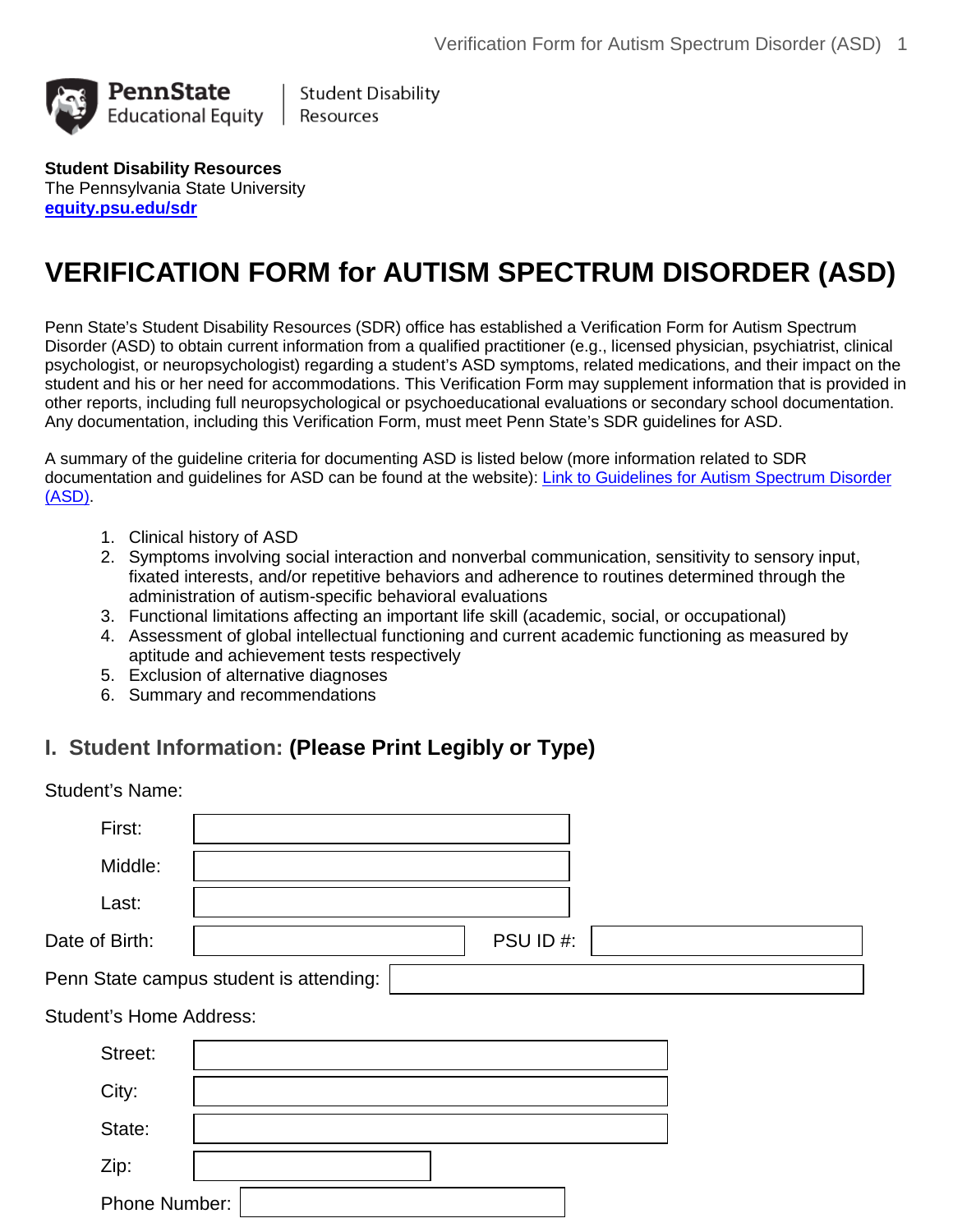

**Student Disability** Resources

**Student Disability Resources** The Pennsylvania State University **[equity.psu.edu/sdr](http://equity.psu.edu/sdr)**

# **VERIFICATION FORM for AUTISM SPECTRUM DISORDER (ASD)**

Penn State's Student Disability Resources (SDR) office has established a Verification Form for Autism Spectrum Disorder (ASD) to obtain current information from a qualified practitioner (e.g., licensed physician, psychiatrist, clinical psychologist, or neuropsychologist) regarding a student's ASD symptoms, related medications, and their impact on the student and his or her need for accommodations. This Verification Form may supplement information that is provided in other reports, including full neuropsychological or psychoeducational evaluations or secondary school documentation. Any documentation, including this Verification Form, must meet Penn State's SDR guidelines for ASD.

A summary of the guideline criteria for documenting ASD is listed below (more information related to SDR documentation and guidelines for ASD can be found at the website): Link [to Guidelines for Autism Spectrum Disorder](http://equity.psu.edu/ods/guidelines/asd)  [\(ASD\).](http://equity.psu.edu/ods/guidelines/asd)

- 1. Clinical history of ASD
- 2. Symptoms involving social interaction and nonverbal communication, sensitivity to sensory input, fixated interests, and/or repetitive behaviors and adherence to routines determined through the administration of autism-specific behavioral evaluations
- 3. Functional limitations affecting an important life skill (academic, social, or occupational)
- 4. Assessment of global intellectual functioning and current academic functioning as measured by aptitude and achievement tests respectively
- 5. Exclusion of alternative diagnoses
- 6. Summary and recommendations

## **I. Student Information: (Please Print Legibly or Type)**

| <b>Student's Name:</b> |                                         |          |  |
|------------------------|-----------------------------------------|----------|--|
| First:                 |                                         |          |  |
| Middle:                |                                         |          |  |
| Last:                  |                                         |          |  |
| Date of Birth:         |                                         | PSU ID#: |  |
|                        | Penn State campus student is attending: |          |  |

#### Student's Home Address:

| Street:       |  |
|---------------|--|
| City:         |  |
| State:        |  |
| Zip:          |  |
| Phone Number: |  |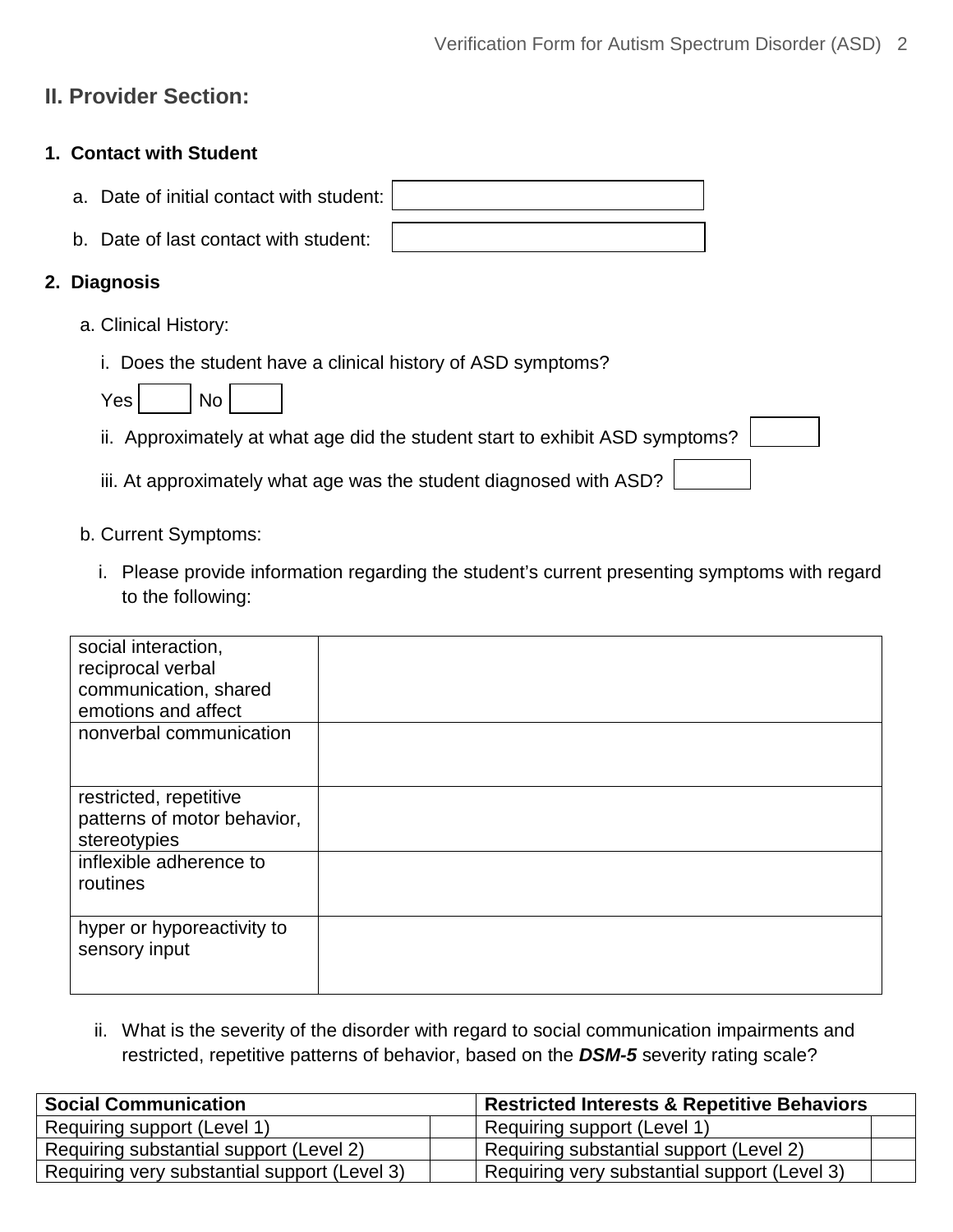# **II. Provider Section:**

#### **1. Contact with Student**

|  |  | a. Date of initial contact with student: |  |
|--|--|------------------------------------------|--|
|--|--|------------------------------------------|--|

b. Date of last contact with student:

#### **2. Diagnosis**

- a. Clinical History:
	- i. Does the student have a clinical history of ASD symptoms?

| ٦.<br>ρs |  | No |  |
|----------|--|----|--|
|----------|--|----|--|

ii. Approximately at what age did the student start to exhibit ASD symptoms?

iii. At approximately what age was the student diagnosed with ASD?

- b. Current Symptoms:
	- i. Please provide information regarding the student's current presenting symptoms with regard to the following:

| social interaction,<br>reciprocal verbal<br>communication, shared<br>emotions and affect |  |
|------------------------------------------------------------------------------------------|--|
| nonverbal communication                                                                  |  |
| restricted, repetitive<br>patterns of motor behavior,<br>stereotypies                    |  |
| inflexible adherence to<br>routines                                                      |  |
| hyper or hyporeactivity to<br>sensory input                                              |  |

ii. What is the severity of the disorder with regard to social communication impairments and restricted, repetitive patterns of behavior, based on the *DSM-5* severity rating scale?

| <b>Social Communication</b>                  |  | Restricted Interests & Repetitive Behaviors  |  |  |
|----------------------------------------------|--|----------------------------------------------|--|--|
| Requiring support (Level 1)                  |  | Requiring support (Level 1)                  |  |  |
| Requiring substantial support (Level 2)      |  | Requiring substantial support (Level 2)      |  |  |
| Requiring very substantial support (Level 3) |  | Requiring very substantial support (Level 3) |  |  |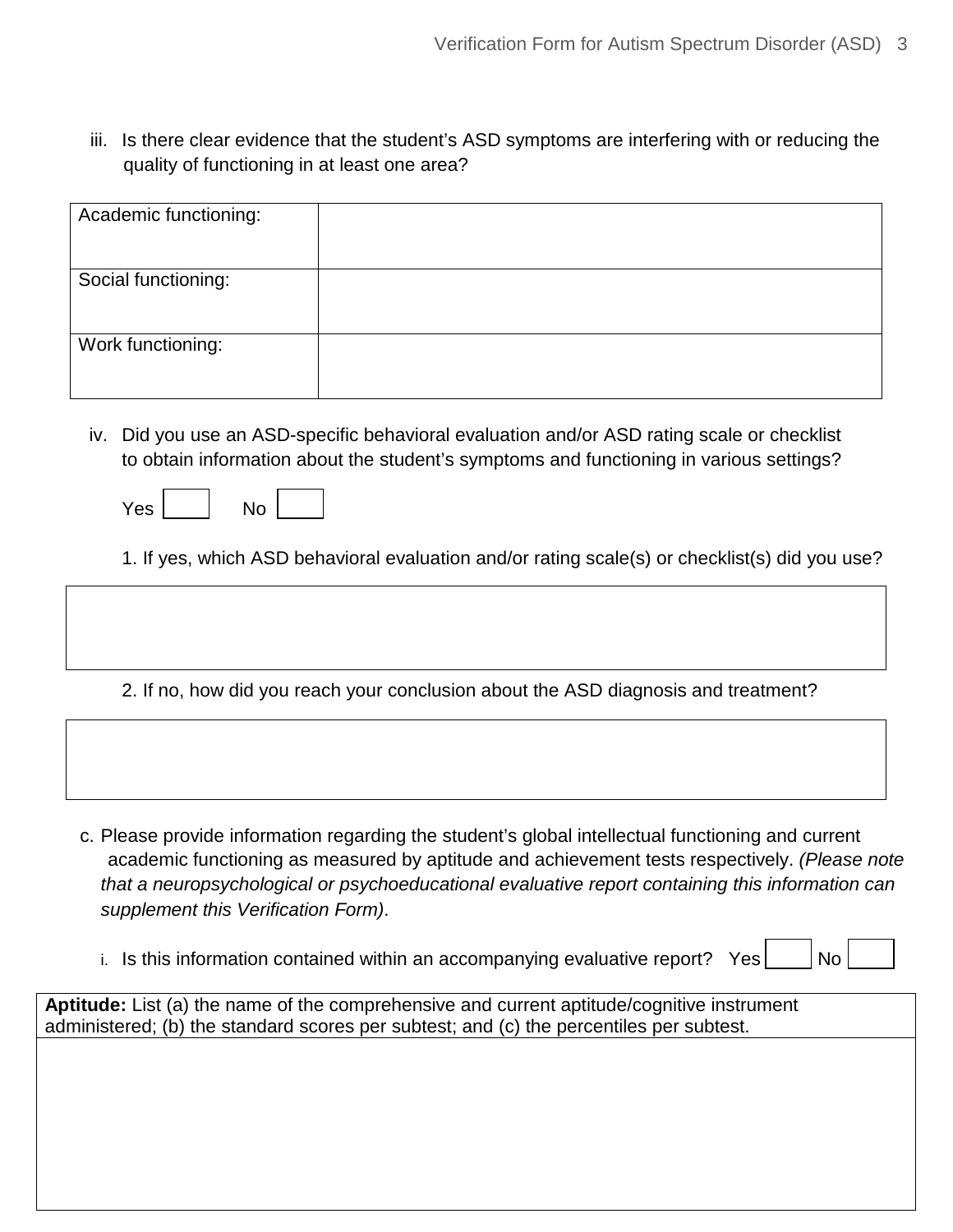iii. Is there clear evidence that the student's ASD symptoms are interfering with or reducing the quality of functioning in at least one area?

| Academic functioning: |  |
|-----------------------|--|
| Social functioning:   |  |
| Work functioning:     |  |

- iv. Did you use an ASD-specific behavioral evaluation and/or ASD rating scale or checklist to obtain information about the student's symptoms and functioning in various settings?
	- Yes No

1. If yes, which ASD behavioral evaluation and/or rating scale(s) or checklist(s) did you use?

2. If no, how did you reach your conclusion about the ASD diagnosis and treatment?

- c. Please provide information regarding the student's global intellectual functioning and current academic functioning as measured by aptitude and achievement tests respectively. *(Please note that a neuropsychological or psychoeducational evaluative report containing this information can supplement this Verification Form)*.
	- i. Is this information contained within an accompanying evaluative report? Yes  $\vert$  No

**Aptitude:** List (a) the name of the comprehensive and current aptitude/cognitive instrument administered; (b) the standard scores per subtest; and (c) the percentiles per subtest.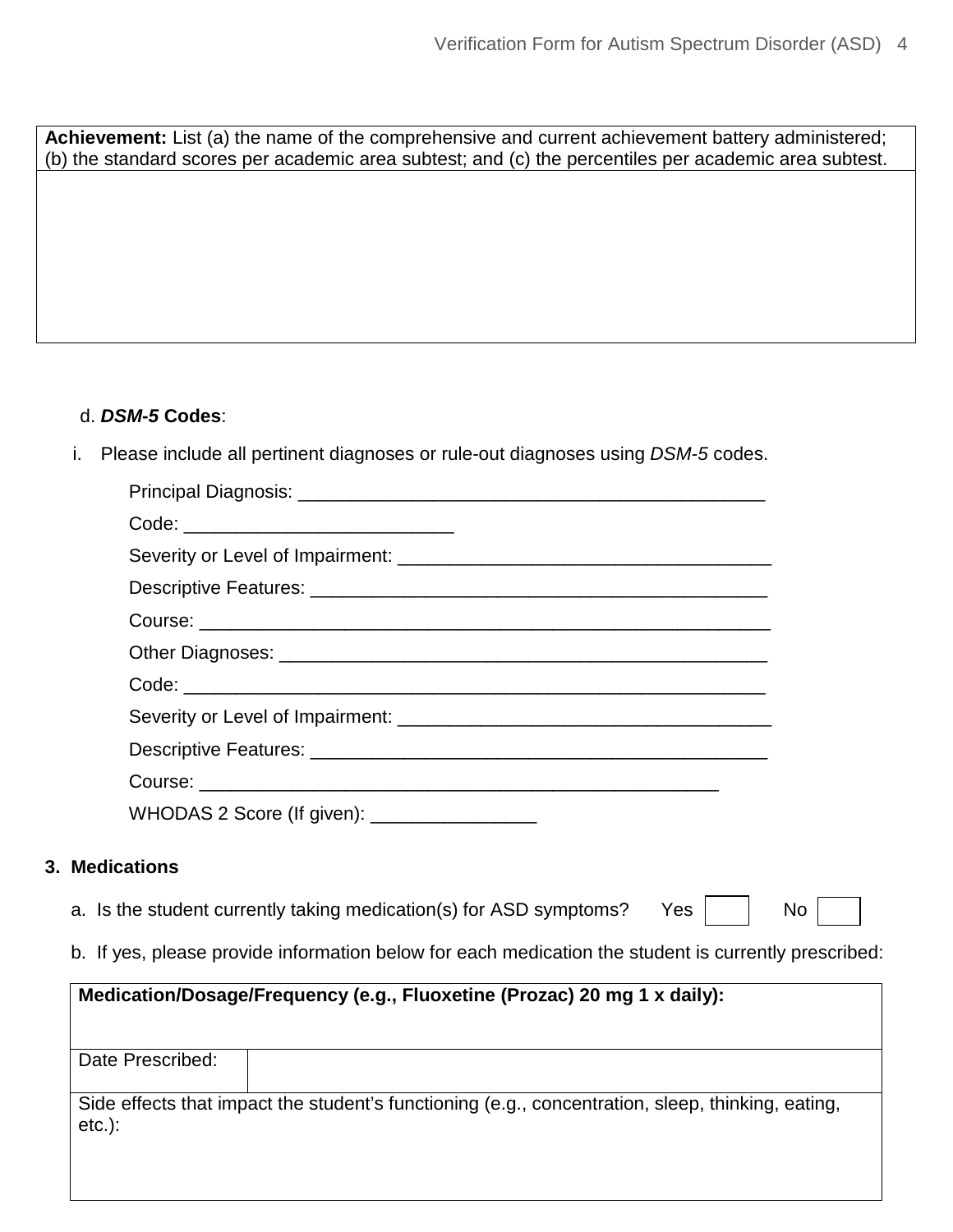**Achievement:** List (a) the name of the comprehensive and current achievement battery administered; (b) the standard scores per academic area subtest; and (c) the percentiles per academic area subtest.

#### d. *DSM***-***5* **Codes**:

i. Please include all pertinent diagnoses or rule-out diagnoses using *DSM*-*5* codes.

| Code: __________________________________                                                                       |    |
|----------------------------------------------------------------------------------------------------------------|----|
|                                                                                                                |    |
|                                                                                                                |    |
|                                                                                                                |    |
|                                                                                                                |    |
|                                                                                                                |    |
|                                                                                                                |    |
|                                                                                                                |    |
|                                                                                                                |    |
| WHODAS 2 Score (If given): ___________________                                                                 |    |
| 3. Medications                                                                                                 |    |
| a. Is the student currently taking medication(s) for ASD symptoms?<br>Yes                                      | No |
| b. If yes, please provide information below for each medication the student is currently prescribed:           |    |
| Medication/Dosage/Frequency (e.g., Fluoxetine (Prozac) 20 mg 1 x daily):                                       |    |
| Date Prescribed:                                                                                               |    |
| Side effects that impact the student's functioning (e.g., concentration, sleep, thinking, eating,<br>$etc.$ ): |    |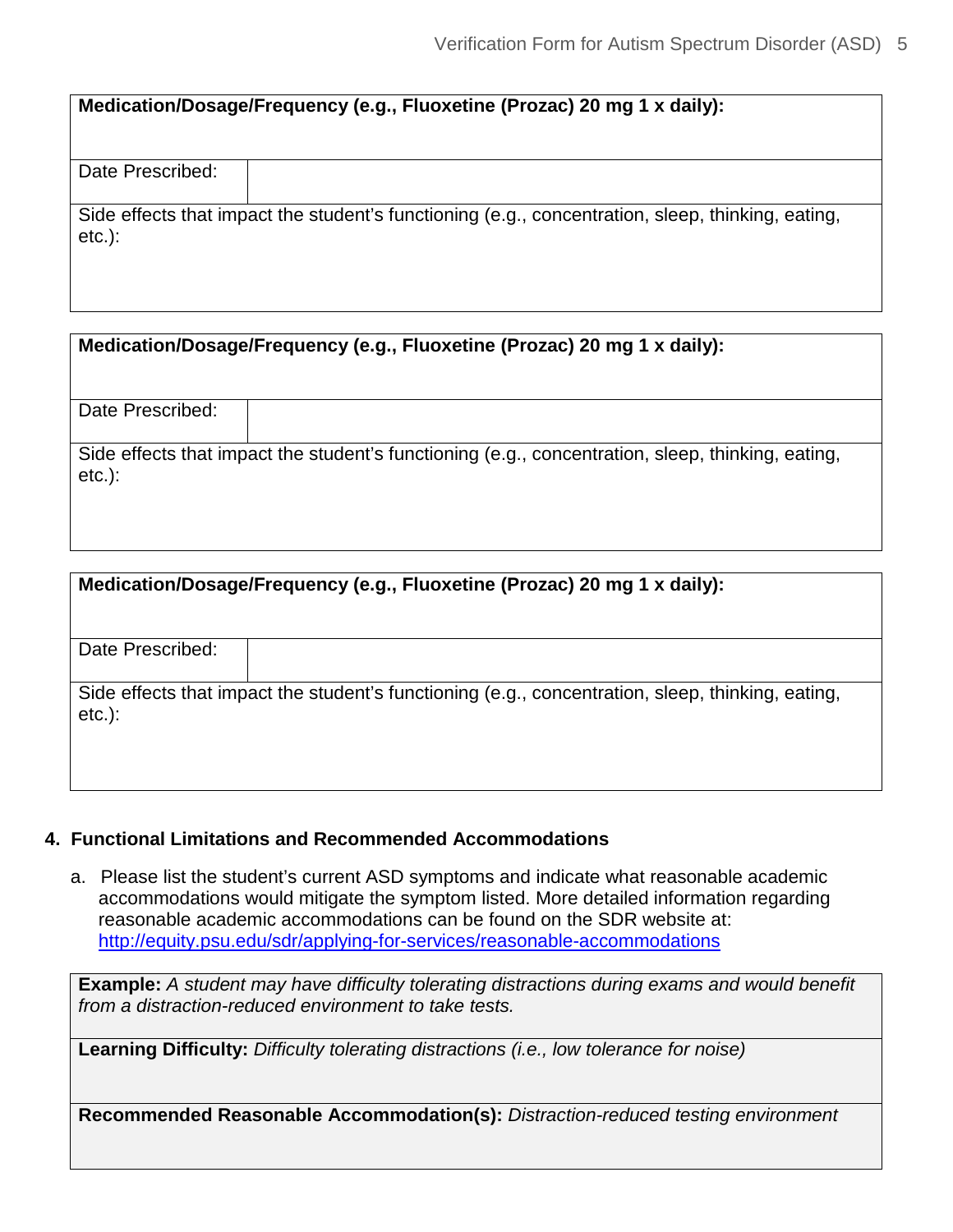| Medication/Dosage/Frequency (e.g., Fluoxetine (Prozac) 20 mg 1 x daily): |
|--------------------------------------------------------------------------|
|--------------------------------------------------------------------------|

Date Prescribed:

Side effects that impact the student's functioning (e.g., concentration, sleep, thinking, eating, etc.):

| Medication/Dosage/Frequency (e.g., Fluoxetine (Prozac) 20 mg 1 x daily): |  |
|--------------------------------------------------------------------------|--|
|--------------------------------------------------------------------------|--|

Date Prescribed:

Side effects that impact the student's functioning (e.g., concentration, sleep, thinking, eating, etc.):

| Medication/Dosage/Frequency (e.g., Fluoxetine (Prozac) 20 mg 1 x daily): |                                                                                                   |  |  |
|--------------------------------------------------------------------------|---------------------------------------------------------------------------------------------------|--|--|
| Date Prescribed:                                                         |                                                                                                   |  |  |
| $etc.$ ):                                                                | Side effects that impact the student's functioning (e.g., concentration, sleep, thinking, eating, |  |  |

#### **4. Functional Limitations and Recommended Accommodations**

a. Please list the student's current ASD symptoms and indicate what reasonable academic accommodations would mitigate the symptom listed. More detailed information regarding reasonable academic accommodations can be found on the SDR website at: http://equity.psu.edu/sdr/applying-for-services/reasonable-accommodations

**Example:** *A student may have difficulty tolerating distractions during exams and would benefit from a distraction-reduced environment to take tests.*

**Learning Difficulty:** *Difficulty tolerating distractions (i.e., low tolerance for noise)*

**Recommended Reasonable Accommodation(s):** *Distraction-reduced testing environment*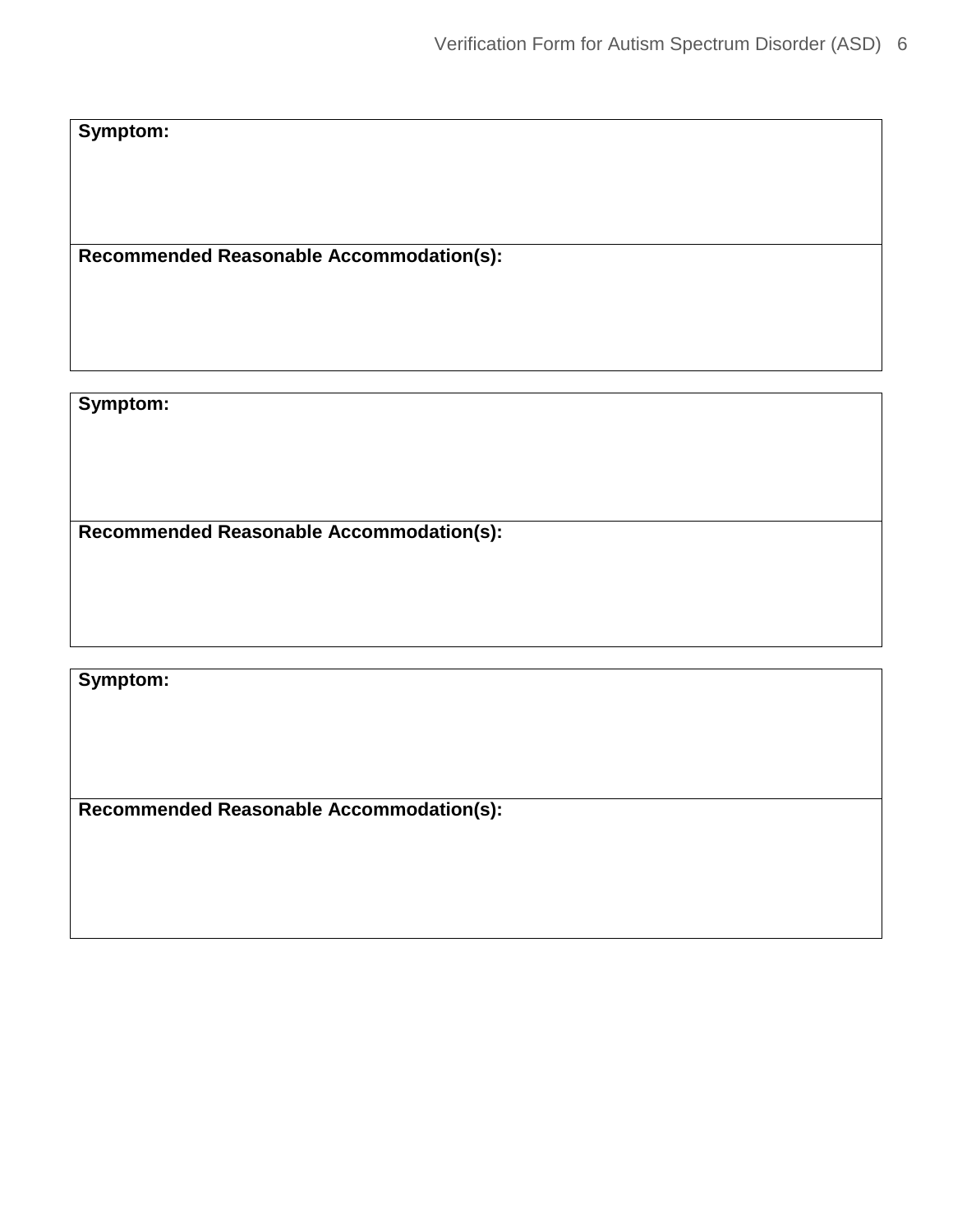**Symptom:** 

**Recommended Reasonable Accommodation(s):** 

**Symptom:** 

**Recommended Reasonable Accommodation(s):** 

**Symptom:** 

**Recommended Reasonable Accommodation(s):**